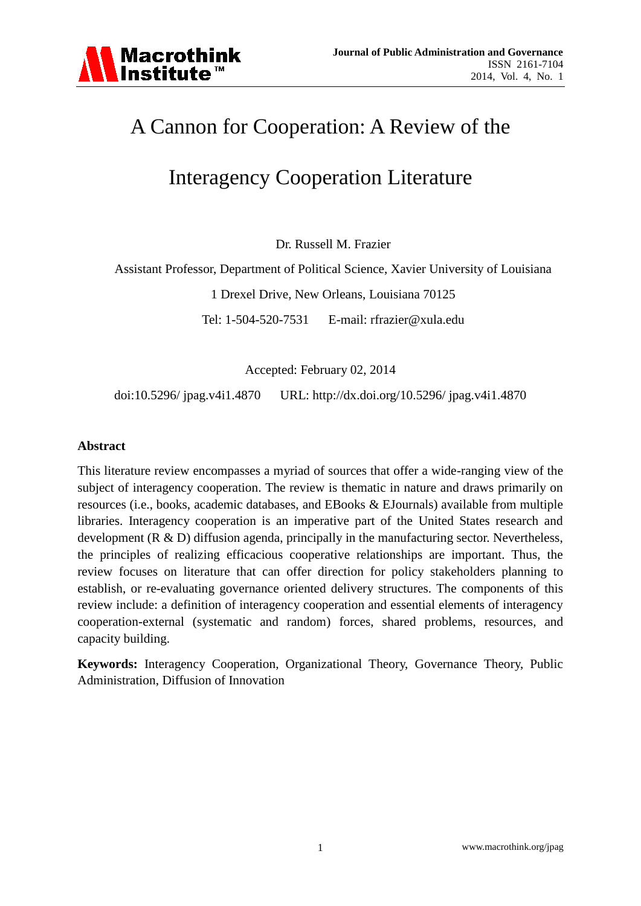

# A Cannon for Cooperation: A Review of the

# Interagency Cooperation Literature

Dr. Russell M. Frazier

Assistant Professor, Department of Political Science, Xavier University of Louisiana

1 Drexel Drive, New Orleans, Louisiana 70125

Tel: 1-504-520-7531 E-mail: rfrazier@xula.edu

Accepted: February 02, 2014

doi:10.5296/ jpag.v4i1.4870 URL: http://dx.doi.org/10.5296/ jpag.v4i1.4870

#### **Abstract**

This literature review encompasses a myriad of sources that offer a wide-ranging view of the subject of interagency cooperation. The review is thematic in nature and draws primarily on resources (i.e., books, academic databases, and EBooks & EJournals) available from multiple libraries. Interagency cooperation is an imperative part of the United States research and development (R & D) diffusion agenda, principally in the manufacturing sector. Nevertheless, the principles of realizing efficacious cooperative relationships are important. Thus, the review focuses on literature that can offer direction for policy stakeholders planning to establish, or re-evaluating governance oriented delivery structures. The components of this review include: a definition of interagency cooperation and essential elements of interagency cooperation-external (systematic and random) forces, shared problems, resources, and capacity building.

**Keywords:** Interagency Cooperation, Organizational Theory, Governance Theory, Public Administration, Diffusion of Innovation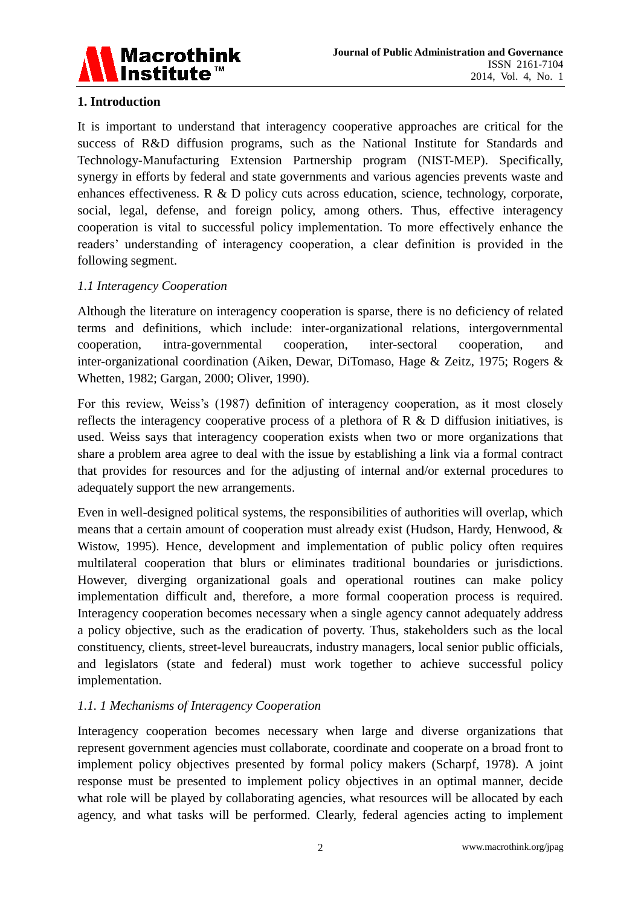

## **1. Introduction**

It is important to understand that interagency cooperative approaches are critical for the success of R&D diffusion programs, such as the National Institute for Standards and Technology-Manufacturing Extension Partnership program (NIST-MEP). Specifically, synergy in efforts by federal and state governments and various agencies prevents waste and enhances effectiveness. R & D policy cuts across education, science, technology, corporate, social, legal, defense, and foreign policy, among others. Thus, effective interagency cooperation is vital to successful policy implementation. To more effectively enhance the readers' understanding of interagency cooperation, a clear definition is provided in the following segment.

## *1.1 Interagency Cooperation*

Although the literature on interagency cooperation is sparse, there is no deficiency of related terms and definitions, which include: inter-organizational relations, intergovernmental cooperation, intra-governmental cooperation, inter-sectoral cooperation, and inter-organizational coordination (Aiken, Dewar, DiTomaso, Hage & Zeitz, 1975; Rogers & Whetten, 1982; Gargan, 2000; Oliver, 1990).

For this review, Weiss's (1987) definition of interagency cooperation, as it most closely reflects the interagency cooperative process of a plethora of R & D diffusion initiatives, is used. Weiss says that interagency cooperation exists when two or more organizations that share a problem area agree to deal with the issue by establishing a link via a formal contract that provides for resources and for the adjusting of internal and/or external procedures to adequately support the new arrangements.

Even in well-designed political systems, the responsibilities of authorities will overlap, which means that a certain amount of cooperation must already exist (Hudson, Hardy, Henwood, & Wistow, 1995). Hence, development and implementation of public policy often requires multilateral cooperation that blurs or eliminates traditional boundaries or jurisdictions. However, diverging organizational goals and operational routines can make policy implementation difficult and, therefore, a more formal cooperation process is required. Interagency cooperation becomes necessary when a single agency cannot adequately address a policy objective, such as the eradication of poverty. Thus, stakeholders such as the local constituency, clients, street-level bureaucrats, industry managers, local senior public officials, and legislators (state and federal) must work together to achieve successful policy implementation.

## *1.1. 1 Mechanisms of Interagency Cooperation*

Interagency cooperation becomes necessary when large and diverse organizations that represent government agencies must collaborate, coordinate and cooperate on a broad front to implement policy objectives presented by formal policy makers (Scharpf, 1978). A joint response must be presented to implement policy objectives in an optimal manner, decide what role will be played by collaborating agencies, what resources will be allocated by each agency, and what tasks will be performed. Clearly, federal agencies acting to implement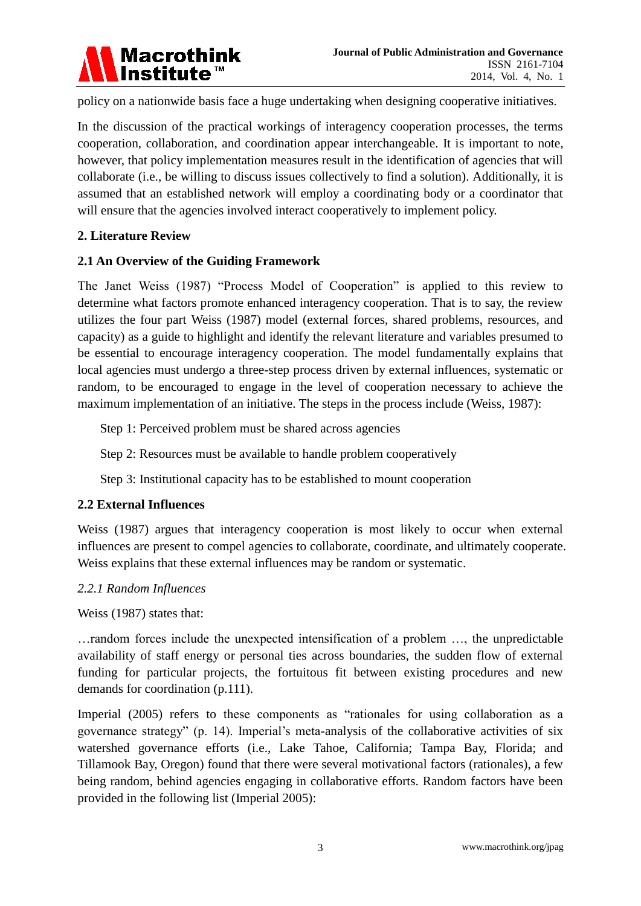

policy on a nationwide basis face a huge undertaking when designing cooperative initiatives.

In the discussion of the practical workings of interagency cooperation processes, the terms cooperation, collaboration, and coordination appear interchangeable. It is important to note, however, that policy implementation measures result in the identification of agencies that will collaborate (i.e., be willing to discuss issues collectively to find a solution). Additionally, it is assumed that an established network will employ a coordinating body or a coordinator that will ensure that the agencies involved interact cooperatively to implement policy.

## **2. Literature Review**

## **2.1 An Overview of the Guiding Framework**

The Janet Weiss (1987) "Process Model of Cooperation" is applied to this review to determine what factors promote enhanced interagency cooperation. That is to say, the review utilizes the four part Weiss (1987) model (external forces, shared problems, resources, and capacity) as a guide to highlight and identify the relevant literature and variables presumed to be essential to encourage interagency cooperation. The model fundamentally explains that local agencies must undergo a three-step process driven by external influences, systematic or random, to be encouraged to engage in the level of cooperation necessary to achieve the maximum implementation of an initiative. The steps in the process include (Weiss, 1987):

Step 1: Perceived problem must be shared across agencies

Step 2: Resources must be available to handle problem cooperatively

Step 3: Institutional capacity has to be established to mount cooperation

## **2.2 External Influences**

Weiss (1987) argues that interagency cooperation is most likely to occur when external influences are present to compel agencies to collaborate, coordinate, and ultimately cooperate. Weiss explains that these external influences may be random or systematic.

#### *2.2.1 Random Influences*

Weiss (1987) states that:

…random forces include the unexpected intensification of a problem …, the unpredictable availability of staff energy or personal ties across boundaries, the sudden flow of external funding for particular projects, the fortuitous fit between existing procedures and new demands for coordination (p.111).

Imperial (2005) refers to these components as "rationales for using collaboration as a governance strategy" (p. 14). Imperial's meta-analysis of the collaborative activities of six watershed governance efforts (i.e., Lake Tahoe, California; Tampa Bay, Florida; and Tillamook Bay, Oregon) found that there were several motivational factors (rationales), a few being random, behind agencies engaging in collaborative efforts. Random factors have been provided in the following list (Imperial 2005):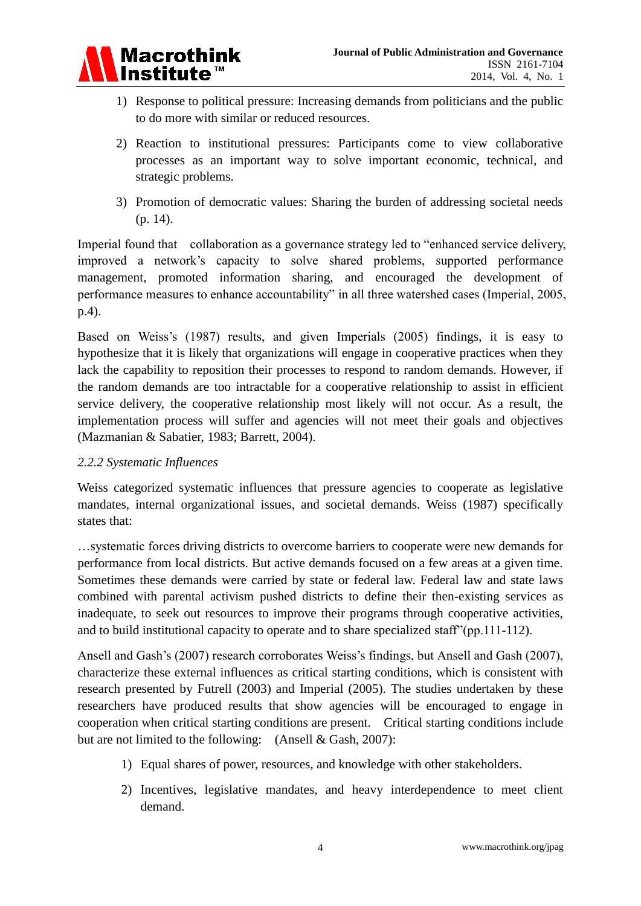

- 1) Response to political pressure: Increasing demands from politicians and the public to do more with similar or reduced resources.
- 2) Reaction to institutional pressures: Participants come to view collaborative processes as an important way to solve important economic, technical, and strategic problems.
- 3) Promotion of democratic values: Sharing the burden of addressing societal needs (p. 14).

Imperial found that collaboration as a governance strategy led to "enhanced service delivery, improved a network's capacity to solve shared problems, supported performance management, promoted information sharing, and encouraged the development of performance measures to enhance accountability" in all three watershed cases (Imperial, 2005, p.4).

Based on Weiss's (1987) results, and given Imperials (2005) findings, it is easy to hypothesize that it is likely that organizations will engage in cooperative practices when they lack the capability to reposition their processes to respond to random demands. However, if the random demands are too intractable for a cooperative relationship to assist in efficient service delivery, the cooperative relationship most likely will not occur. As a result, the implementation process will suffer and agencies will not meet their goals and objectives (Mazmanian & Sabatier, 1983; Barrett, 2004).

## *2.2.2 Systematic Influences*

Weiss categorized systematic influences that pressure agencies to cooperate as legislative mandates, internal organizational issues, and societal demands. Weiss (1987) specifically states that:

…systematic forces driving districts to overcome barriers to cooperate were new demands for performance from local districts. But active demands focused on a few areas at a given time. Sometimes these demands were carried by state or federal law. Federal law and state laws combined with parental activism pushed districts to define their then-existing services as inadequate, to seek out resources to improve their programs through cooperative activities, and to build institutional capacity to operate and to share specialized staff"(pp.111-112).

Ansell and Gash's (2007) research corroborates Weiss's findings, but Ansell and Gash (2007), characterize these external influences as critical starting conditions, which is consistent with research presented by Futrell (2003) and Imperial (2005). The studies undertaken by these researchers have produced results that show agencies will be encouraged to engage in cooperation when critical starting conditions are present. Critical starting conditions include but are not limited to the following: (Ansell & Gash, 2007):

- 1) Equal shares of power, resources, and knowledge with other stakeholders.
- 2) Incentives, legislative mandates, and heavy interdependence to meet client demand.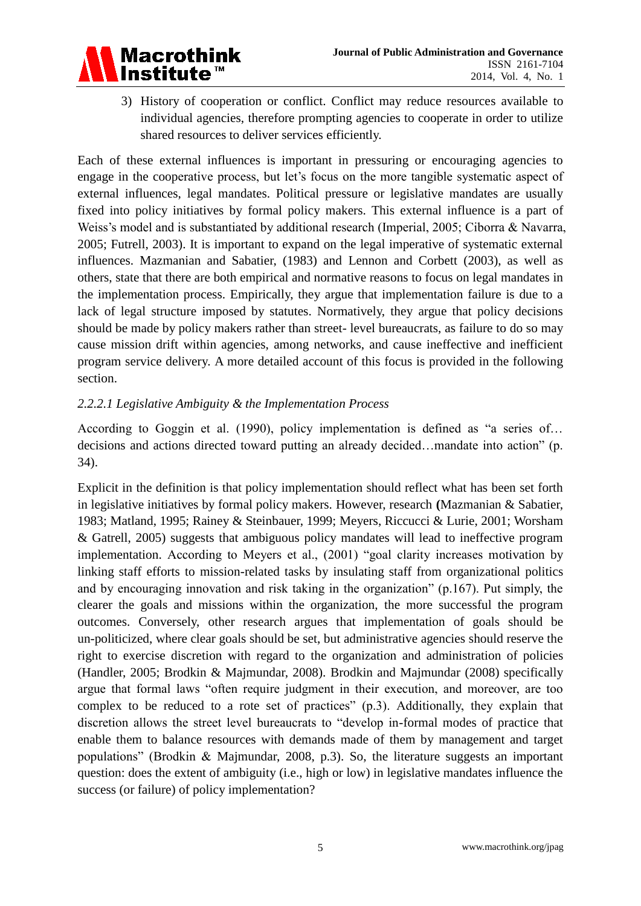

3) History of cooperation or conflict. Conflict may reduce resources available to individual agencies, therefore prompting agencies to cooperate in order to utilize shared resources to deliver services efficiently.

Each of these external influences is important in pressuring or encouraging agencies to engage in the cooperative process, but let's focus on the more tangible systematic aspect of external influences, legal mandates. Political pressure or legislative mandates are usually fixed into policy initiatives by formal policy makers. This external influence is a part of Weiss's model and is substantiated by additional research (Imperial, 2005; Ciborra & Navarra, 2005; Futrell, 2003). It is important to expand on the legal imperative of systematic external influences. Mazmanian and Sabatier, (1983) and Lennon and Corbett (2003), as well as others, state that there are both empirical and normative reasons to focus on legal mandates in the implementation process. Empirically, they argue that implementation failure is due to a lack of legal structure imposed by statutes. Normatively, they argue that policy decisions should be made by policy makers rather than street- level bureaucrats, as failure to do so may cause mission drift within agencies, among networks, and cause ineffective and inefficient program service delivery. A more detailed account of this focus is provided in the following section.

## *2.2.2.1 Legislative Ambiguity & the Implementation Process*

According to Goggin et al. (1990), policy implementation is defined as "a series of… decisions and actions directed toward putting an already decided…mandate into action" (p. 34).

Explicit in the definition is that policy implementation should reflect what has been set forth in legislative initiatives by formal policy makers. However, research **(**Mazmanian & Sabatier, 1983; Matland, 1995; Rainey & Steinbauer, 1999; Meyers, Riccucci & Lurie, 2001; Worsham & Gatrell, 2005) suggests that ambiguous policy mandates will lead to ineffective program implementation. According to Meyers et al., (2001) "goal clarity increases motivation by linking staff efforts to mission-related tasks by insulating staff from organizational politics and by encouraging innovation and risk taking in the organization" (p.167). Put simply, the clearer the goals and missions within the organization, the more successful the program outcomes. Conversely, other research argues that implementation of goals should be un-politicized, where clear goals should be set, but administrative agencies should reserve the right to exercise discretion with regard to the organization and administration of policies (Handler, 2005; Brodkin & Majmundar, 2008). Brodkin and Majmundar (2008) specifically argue that formal laws "often require judgment in their execution, and moreover, are too complex to be reduced to a rote set of practices" (p.3). Additionally, they explain that discretion allows the street level bureaucrats to "develop in-formal modes of practice that enable them to balance resources with demands made of them by management and target populations" (Brodkin & Majmundar, 2008, p.3). So, the literature suggests an important question: does the extent of ambiguity (i.e., high or low) in legislative mandates influence the success (or failure) of policy implementation?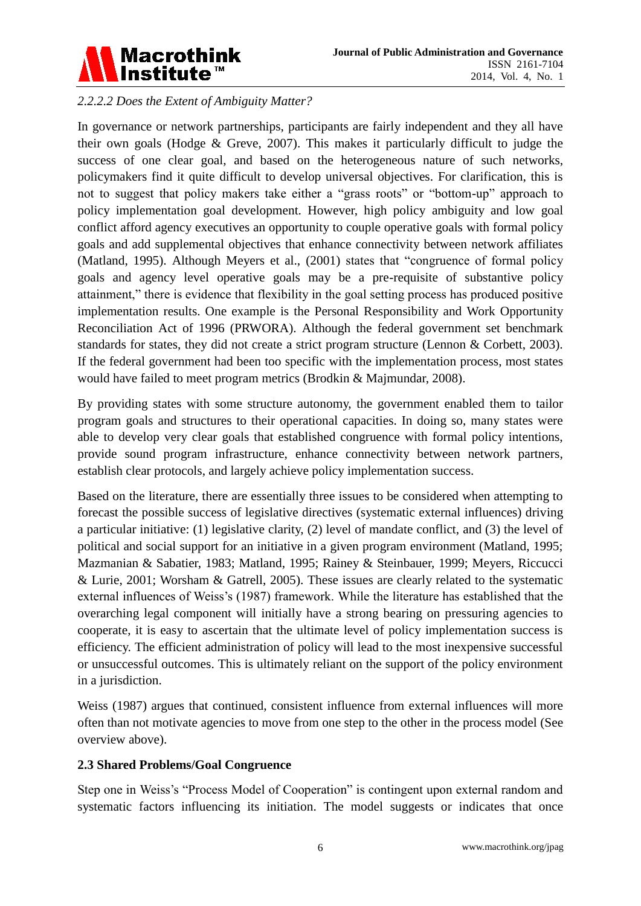

## *2.2.2.2 Does the Extent of Ambiguity Matter?*

In governance or network partnerships, participants are fairly independent and they all have their own goals (Hodge & Greve, 2007). This makes it particularly difficult to judge the success of one clear goal, and based on the heterogeneous nature of such networks, policymakers find it quite difficult to develop universal objectives. For clarification, this is not to suggest that policy makers take either a "grass roots" or "bottom-up" approach to policy implementation goal development. However, high policy ambiguity and low goal conflict afford agency executives an opportunity to couple operative goals with formal policy goals and add supplemental objectives that enhance connectivity between network affiliates (Matland, 1995). Although Meyers et al., (2001) states that "congruence of formal policy goals and agency level operative goals may be a pre-requisite of substantive policy attainment," there is evidence that flexibility in the goal setting process has produced positive implementation results. One example is the Personal Responsibility and Work Opportunity Reconciliation Act of 1996 (PRWORA). Although the federal government set benchmark standards for states, they did not create a strict program structure (Lennon & Corbett, 2003). If the federal government had been too specific with the implementation process, most states would have failed to meet program metrics (Brodkin & Majmundar, 2008).

By providing states with some structure autonomy, the government enabled them to tailor program goals and structures to their operational capacities. In doing so, many states were able to develop very clear goals that established congruence with formal policy intentions, provide sound program infrastructure, enhance connectivity between network partners, establish clear protocols, and largely achieve policy implementation success.

Based on the literature, there are essentially three issues to be considered when attempting to forecast the possible success of legislative directives (systematic external influences) driving a particular initiative: (1) legislative clarity, (2) level of mandate conflict, and (3) the level of political and social support for an initiative in a given program environment (Matland, 1995; Mazmanian & Sabatier, 1983; Matland, 1995; Rainey & Steinbauer, 1999; Meyers, Riccucci & Lurie, 2001; Worsham & Gatrell, 2005). These issues are clearly related to the systematic external influences of Weiss's (1987) framework. While the literature has established that the overarching legal component will initially have a strong bearing on pressuring agencies to cooperate, it is easy to ascertain that the ultimate level of policy implementation success is efficiency. The efficient administration of policy will lead to the most inexpensive successful or unsuccessful outcomes. This is ultimately reliant on the support of the policy environment in a jurisdiction.

Weiss (1987) argues that continued, consistent influence from external influences will more often than not motivate agencies to move from one step to the other in the process model (See overview above).

## **2.3 Shared Problems/Goal Congruence**

Step one in Weiss's "Process Model of Cooperation" is contingent upon external random and systematic factors influencing its initiation. The model suggests or indicates that once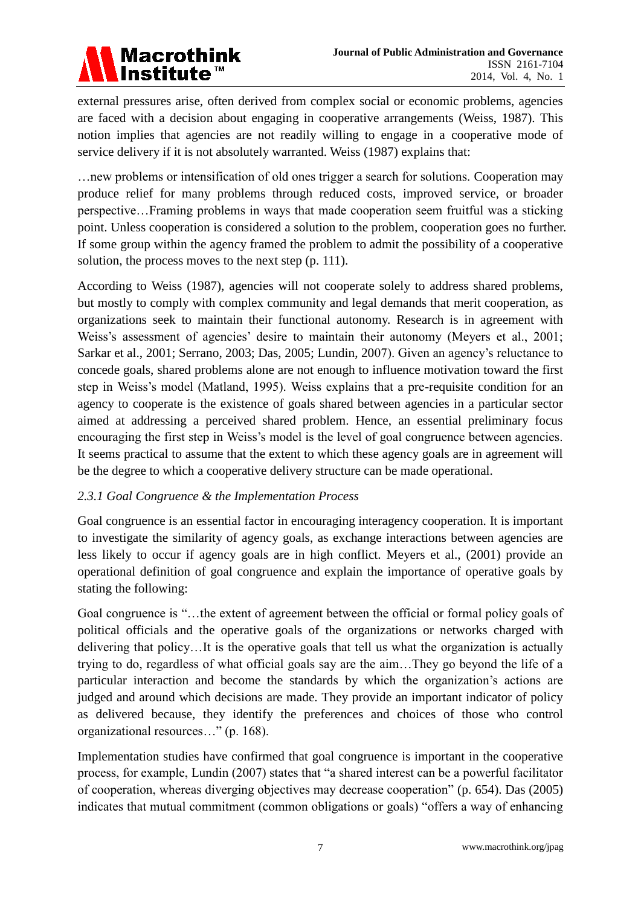

external pressures arise, often derived from complex social or economic problems, agencies are faced with a decision about engaging in cooperative arrangements (Weiss, 1987). This notion implies that agencies are not readily willing to engage in a cooperative mode of service delivery if it is not absolutely warranted. Weiss (1987) explains that:

…new problems or intensification of old ones trigger a search for solutions. Cooperation may produce relief for many problems through reduced costs, improved service, or broader perspective…Framing problems in ways that made cooperation seem fruitful was a sticking point. Unless cooperation is considered a solution to the problem, cooperation goes no further. If some group within the agency framed the problem to admit the possibility of a cooperative solution, the process moves to the next step (p. 111).

According to Weiss (1987), agencies will not cooperate solely to address shared problems, but mostly to comply with complex community and legal demands that merit cooperation, as organizations seek to maintain their functional autonomy. Research is in agreement with Weiss's assessment of agencies' desire to maintain their autonomy (Meyers et al., 2001; Sarkar et al., 2001; Serrano, 2003; Das, 2005; Lundin, 2007). Given an agency's reluctance to concede goals, shared problems alone are not enough to influence motivation toward the first step in Weiss's model (Matland, 1995). Weiss explains that a pre-requisite condition for an agency to cooperate is the existence of goals shared between agencies in a particular sector aimed at addressing a perceived shared problem. Hence, an essential preliminary focus encouraging the first step in Weiss's model is the level of goal congruence between agencies. It seems practical to assume that the extent to which these agency goals are in agreement will be the degree to which a cooperative delivery structure can be made operational.

## *2.3.1 Goal Congruence & the Implementation Process*

Goal congruence is an essential factor in encouraging interagency cooperation. It is important to investigate the similarity of agency goals, as exchange interactions between agencies are less likely to occur if agency goals are in high conflict. Meyers et al., (2001) provide an operational definition of goal congruence and explain the importance of operative goals by stating the following:

Goal congruence is "…the extent of agreement between the official or formal policy goals of political officials and the operative goals of the organizations or networks charged with delivering that policy…It is the operative goals that tell us what the organization is actually trying to do, regardless of what official goals say are the aim…They go beyond the life of a particular interaction and become the standards by which the organization's actions are judged and around which decisions are made. They provide an important indicator of policy as delivered because, they identify the preferences and choices of those who control organizational resources…" (p. 168).

Implementation studies have confirmed that goal congruence is important in the cooperative process, for example, Lundin (2007) states that "a shared interest can be a powerful facilitator of cooperation, whereas diverging objectives may decrease cooperation" (p. 654). Das (2005) indicates that mutual commitment (common obligations or goals) "offers a way of enhancing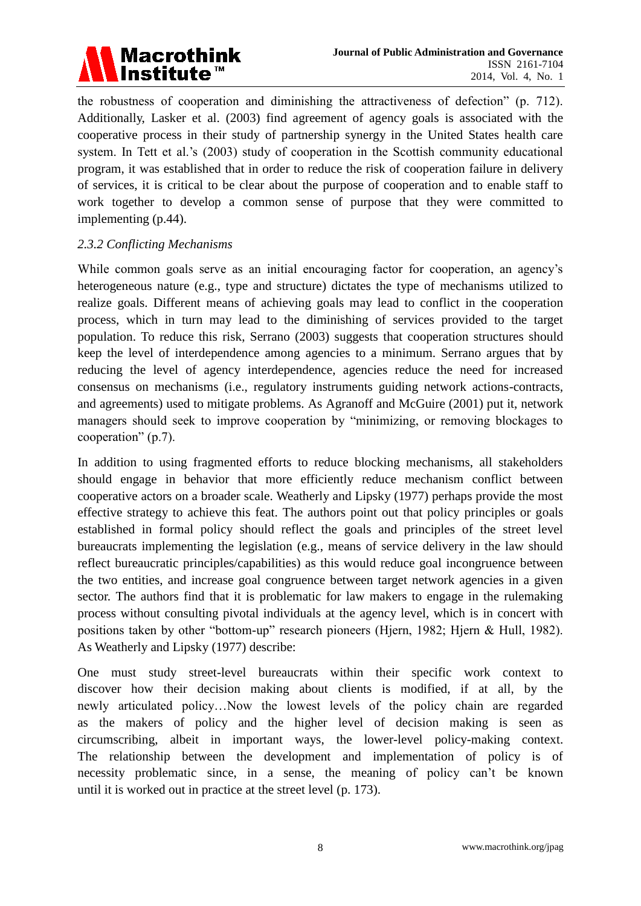

the robustness of cooperation and diminishing the attractiveness of defection" (p. 712). Additionally, Lasker et al. (2003) find agreement of agency goals is associated with the cooperative process in their study of partnership synergy in the United States health care system. In Tett et al.'s (2003) study of cooperation in the Scottish community educational program, it was established that in order to reduce the risk of cooperation failure in delivery of services, it is critical to be clear about the purpose of cooperation and to enable staff to work together to develop a common sense of purpose that they were committed to implementing (p.44).

## *2.3.2 Conflicting Mechanisms*

While common goals serve as an initial encouraging factor for cooperation, an agency's heterogeneous nature (e.g., type and structure) dictates the type of mechanisms utilized to realize goals. Different means of achieving goals may lead to conflict in the cooperation process, which in turn may lead to the diminishing of services provided to the target population. To reduce this risk, Serrano (2003) suggests that cooperation structures should keep the level of interdependence among agencies to a minimum. Serrano argues that by reducing the level of agency interdependence, agencies reduce the need for increased consensus on mechanisms (i.e., regulatory instruments guiding network actions-contracts, and agreements) used to mitigate problems. As Agranoff and McGuire (2001) put it, network managers should seek to improve cooperation by "minimizing, or removing blockages to cooperation" (p.7).

In addition to using fragmented efforts to reduce blocking mechanisms, all stakeholders should engage in behavior that more efficiently reduce mechanism conflict between cooperative actors on a broader scale. Weatherly and Lipsky (1977) perhaps provide the most effective strategy to achieve this feat. The authors point out that policy principles or goals established in formal policy should reflect the goals and principles of the street level bureaucrats implementing the legislation (e.g., means of service delivery in the law should reflect bureaucratic principles/capabilities) as this would reduce goal incongruence between the two entities, and increase goal congruence between target network agencies in a given sector. The authors find that it is problematic for law makers to engage in the rulemaking process without consulting pivotal individuals at the agency level, which is in concert with positions taken by other "bottom-up" research pioneers (Hjern, 1982; Hjern & Hull, 1982). As Weatherly and Lipsky (1977) describe:

One must study street-level bureaucrats within their specific work context to discover how their decision making about clients is modified, if at all, by the newly articulated policy…Now the lowest levels of the policy chain are regarded as the makers of policy and the higher level of decision making is seen as circumscribing, albeit in important ways, the lower-level policy-making context. The relationship between the development and implementation of policy is of necessity problematic since, in a sense, the meaning of policy can't be known until it is worked out in practice at the street level (p. 173).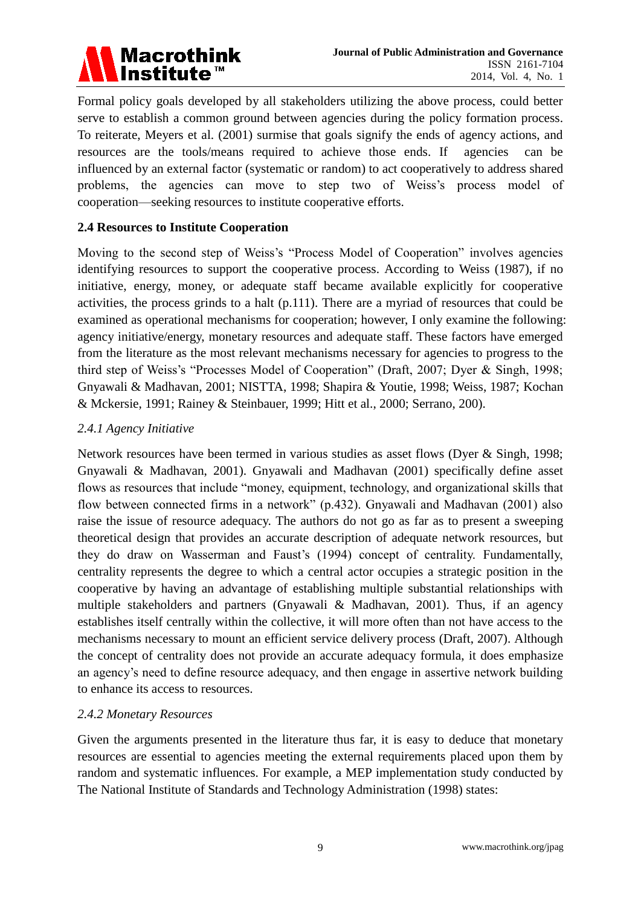

Formal policy goals developed by all stakeholders utilizing the above process, could better serve to establish a common ground between agencies during the policy formation process. To reiterate, Meyers et al. (2001) surmise that goals signify the ends of agency actions, and resources are the tools/means required to achieve those ends. If agencies can be influenced by an external factor (systematic or random) to act cooperatively to address shared problems, the agencies can move to step two of Weiss's process model of cooperation—seeking resources to institute cooperative efforts.

#### **2.4 Resources to Institute Cooperation**

Moving to the second step of Weiss's "Process Model of Cooperation" involves agencies identifying resources to support the cooperative process. According to Weiss (1987), if no initiative, energy, money, or adequate staff became available explicitly for cooperative activities, the process grinds to a halt (p.111). There are a myriad of resources that could be examined as operational mechanisms for cooperation; however, I only examine the following: agency initiative/energy, monetary resources and adequate staff. These factors have emerged from the literature as the most relevant mechanisms necessary for agencies to progress to the third step of Weiss's "Processes Model of Cooperation" (Draft, 2007; Dyer & Singh, 1998; Gnyawali & Madhavan, 2001; NISTTA, 1998; Shapira & Youtie, 1998; Weiss, 1987; Kochan & Mckersie, 1991; Rainey & Steinbauer, 1999; Hitt et al., 2000; Serrano, 200).

#### *2.4.1 Agency Initiative*

Network resources have been termed in various studies as asset flows (Dyer & Singh, 1998; Gnyawali & Madhavan, 2001). Gnyawali and Madhavan (2001) specifically define asset flows as resources that include "money, equipment, technology, and organizational skills that flow between connected firms in a network" (p.432). Gnyawali and Madhavan (2001) also raise the issue of resource adequacy. The authors do not go as far as to present a sweeping theoretical design that provides an accurate description of adequate network resources, but they do draw on Wasserman and Faust's (1994) concept of centrality. Fundamentally, centrality represents the degree to which a central actor occupies a strategic position in the cooperative by having an advantage of establishing multiple substantial relationships with multiple stakeholders and partners (Gnyawali & Madhavan, 2001). Thus, if an agency establishes itself centrally within the collective, it will more often than not have access to the mechanisms necessary to mount an efficient service delivery process (Draft, 2007). Although the concept of centrality does not provide an accurate adequacy formula, it does emphasize an agency's need to define resource adequacy, and then engage in assertive network building to enhance its access to resources.

#### *2.4.2 Monetary Resources*

Given the arguments presented in the literature thus far, it is easy to deduce that monetary resources are essential to agencies meeting the external requirements placed upon them by random and systematic influences. For example, a MEP implementation study conducted by The National Institute of Standards and Technology Administration (1998) states: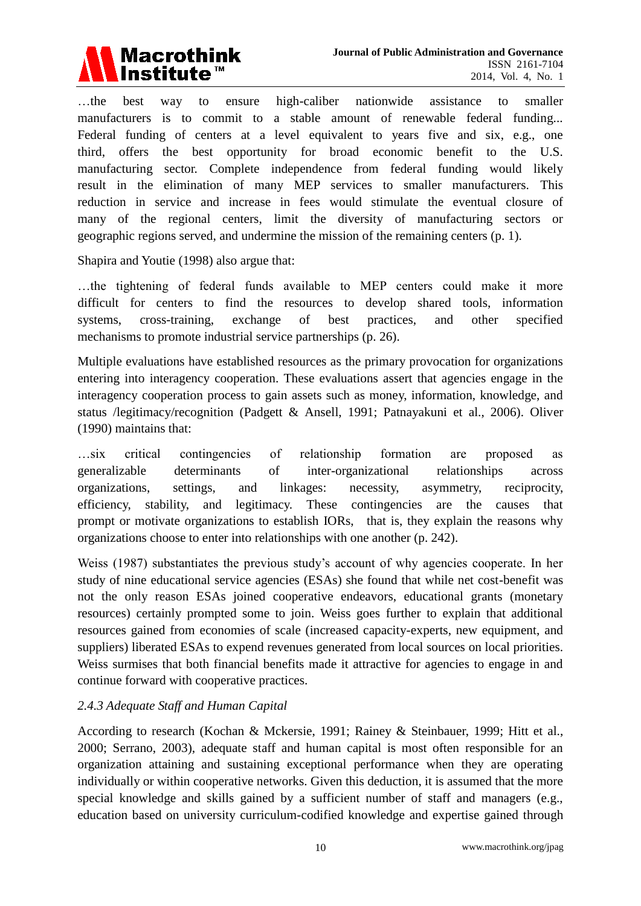

…the best way to ensure high-caliber nationwide assistance to smaller manufacturers is to commit to a stable amount of renewable federal funding... Federal funding of centers at a level equivalent to years five and six, e.g., one third, offers the best opportunity for broad economic benefit to the U.S. manufacturing sector. Complete independence from federal funding would likely result in the elimination of many MEP services to smaller manufacturers. This reduction in service and increase in fees would stimulate the eventual closure of many of the regional centers, limit the diversity of manufacturing sectors or geographic regions served, and undermine the mission of the remaining centers (p. 1).

Shapira and Youtie (1998) also argue that:

…the tightening of federal funds available to MEP centers could make it more difficult for centers to find the resources to develop shared tools, information systems, cross-training, exchange of best practices, and other specified mechanisms to promote industrial service partnerships (p. 26).

Multiple evaluations have established resources as the primary provocation for organizations entering into interagency cooperation. These evaluations assert that agencies engage in the interagency cooperation process to gain assets such as money, information, knowledge, and status /legitimacy/recognition (Padgett & Ansell, 1991; Patnayakuni et al., 2006). Oliver (1990) maintains that:

…six critical contingencies of relationship formation are proposed as generalizable determinants of inter-organizational relationships across organizations, settings, and linkages: necessity, asymmetry, reciprocity, efficiency, stability, and legitimacy. These contingencies are the causes that prompt or motivate organizations to establish IORs, that is, they explain the reasons why organizations choose to enter into relationships with one another (p. 242).

Weiss (1987) substantiates the previous study's account of why agencies cooperate. In her study of nine educational service agencies (ESAs) she found that while net cost-benefit was not the only reason ESAs joined cooperative endeavors, educational grants (monetary resources) certainly prompted some to join. Weiss goes further to explain that additional resources gained from economies of scale (increased capacity-experts, new equipment, and suppliers) liberated ESAs to expend revenues generated from local sources on local priorities. Weiss surmises that both financial benefits made it attractive for agencies to engage in and continue forward with cooperative practices.

## *2.4.3 Adequate Staff and Human Capital*

According to research (Kochan & Mckersie, 1991; Rainey & Steinbauer, 1999; Hitt et al., 2000; Serrano, 2003), adequate staff and human capital is most often responsible for an organization attaining and sustaining exceptional performance when they are operating individually or within cooperative networks. Given this deduction, it is assumed that the more special knowledge and skills gained by a sufficient number of staff and managers (e.g., education based on university curriculum-codified knowledge and expertise gained through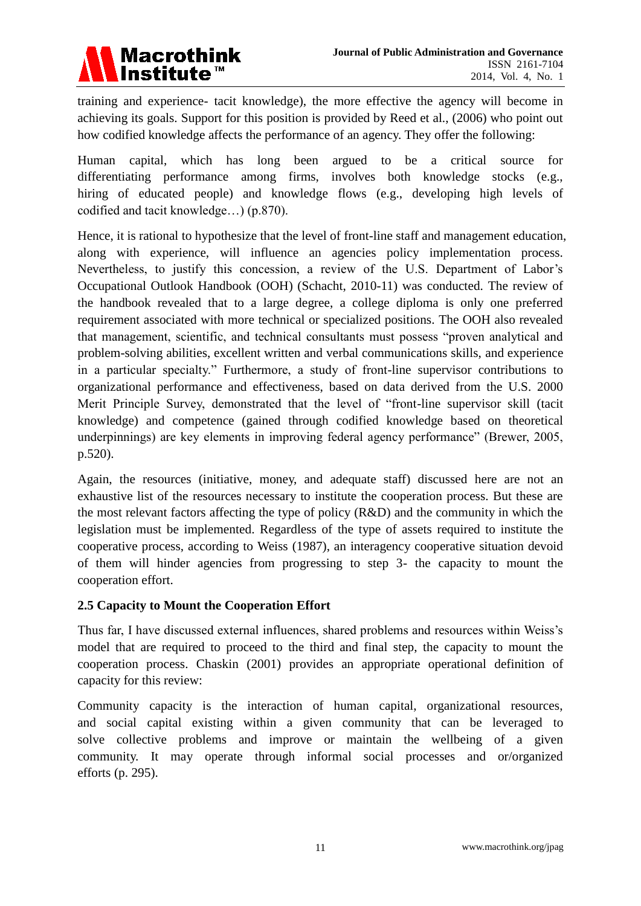

training and experience- tacit knowledge), the more effective the agency will become in achieving its goals. Support for this position is provided by Reed et al., (2006) who point out how codified knowledge affects the performance of an agency. They offer the following:

Human capital, which has long been argued to be a critical source for differentiating performance among firms, involves both knowledge stocks (e.g., hiring of educated people) and knowledge flows (e.g., developing high levels of codified and tacit knowledge…) (p.870).

Hence, it is rational to hypothesize that the level of front-line staff and management education, along with experience, will influence an agencies policy implementation process. Nevertheless, to justify this concession, a review of the U.S. Department of Labor's Occupational Outlook Handbook (OOH) (Schacht, 2010-11) was conducted. The review of the handbook revealed that to a large degree, a college diploma is only one preferred requirement associated with more technical or specialized positions. The OOH also revealed that management, scientific, and technical consultants must possess "proven analytical and problem-solving abilities, excellent written and verbal communications skills, and experience in a particular specialty." Furthermore, a study of front-line supervisor contributions to organizational performance and effectiveness, based on data derived from the U.S. 2000 Merit Principle Survey, demonstrated that the level of "front-line supervisor skill (tacit knowledge) and competence (gained through codified knowledge based on theoretical underpinnings) are key elements in improving federal agency performance" (Brewer, 2005, p.520).

Again, the resources (initiative, money, and adequate staff) discussed here are not an exhaustive list of the resources necessary to institute the cooperation process. But these are the most relevant factors affecting the type of policy (R&D) and the community in which the legislation must be implemented. Regardless of the type of assets required to institute the cooperative process, according to Weiss (1987), an interagency cooperative situation devoid of them will hinder agencies from progressing to step 3- the capacity to mount the cooperation effort.

## **2.5 Capacity to Mount the Cooperation Effort**

Thus far, I have discussed external influences, shared problems and resources within Weiss's model that are required to proceed to the third and final step, the capacity to mount the cooperation process. Chaskin (2001) provides an appropriate operational definition of capacity for this review:

Community capacity is the interaction of human capital, organizational resources, and social capital existing within a given community that can be leveraged to solve collective problems and improve or maintain the wellbeing of a given community. It may operate through informal social processes and or/organized efforts (p. 295).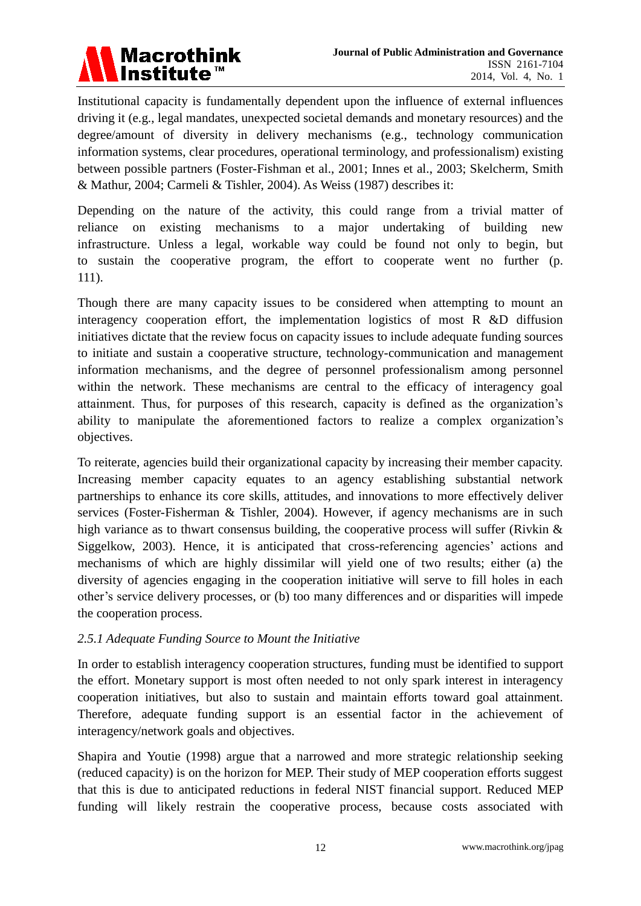

Institutional capacity is fundamentally dependent upon the influence of external influences driving it (e.g., legal mandates, unexpected societal demands and monetary resources) and the degree/amount of diversity in delivery mechanisms (e.g., technology communication information systems, clear procedures, operational terminology, and professionalism) existing between possible partners (Foster-Fishman et al., 2001; Innes et al., 2003; Skelcherm, Smith & Mathur, 2004; Carmeli & Tishler, 2004). As Weiss (1987) describes it:

Depending on the nature of the activity, this could range from a trivial matter of reliance on existing mechanisms to a major undertaking of building new infrastructure. Unless a legal, workable way could be found not only to begin, but to sustain the cooperative program, the effort to cooperate went no further (p. 111).

Though there are many capacity issues to be considered when attempting to mount an interagency cooperation effort, the implementation logistics of most R &D diffusion initiatives dictate that the review focus on capacity issues to include adequate funding sources to initiate and sustain a cooperative structure, technology-communication and management information mechanisms, and the degree of personnel professionalism among personnel within the network. These mechanisms are central to the efficacy of interagency goal attainment. Thus, for purposes of this research, capacity is defined as the organization's ability to manipulate the aforementioned factors to realize a complex organization's objectives.

To reiterate, agencies build their organizational capacity by increasing their member capacity. Increasing member capacity equates to an agency establishing substantial network partnerships to enhance its core skills, attitudes, and innovations to more effectively deliver services (Foster-Fisherman & Tishler, 2004). However, if agency mechanisms are in such high variance as to thwart consensus building, the cooperative process will suffer (Rivkin & Siggelkow, 2003). Hence, it is anticipated that cross-referencing agencies' actions and mechanisms of which are highly dissimilar will yield one of two results; either (a) the diversity of agencies engaging in the cooperation initiative will serve to fill holes in each other's service delivery processes, or (b) too many differences and or disparities will impede the cooperation process.

## *2.5.1 Adequate Funding Source to Mount the Initiative*

In order to establish interagency cooperation structures, funding must be identified to support the effort. Monetary support is most often needed to not only spark interest in interagency cooperation initiatives, but also to sustain and maintain efforts toward goal attainment. Therefore, adequate funding support is an essential factor in the achievement of interagency/network goals and objectives.

Shapira and Youtie (1998) argue that a narrowed and more strategic relationship seeking (reduced capacity) is on the horizon for MEP. Their study of MEP cooperation efforts suggest that this is due to anticipated reductions in federal NIST financial support. Reduced MEP funding will likely restrain the cooperative process, because costs associated with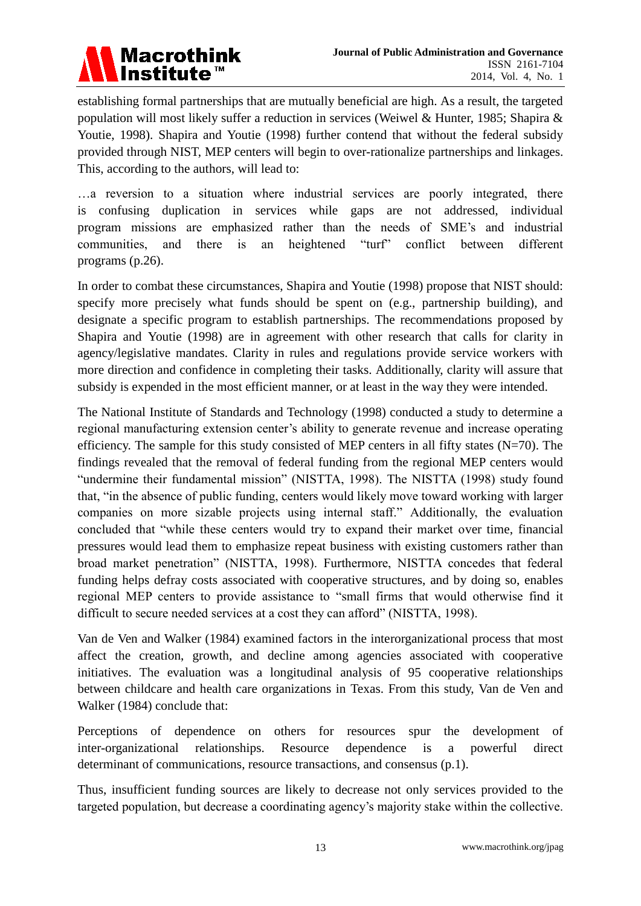

establishing formal partnerships that are mutually beneficial are high. As a result, the targeted population will most likely suffer a reduction in services (Weiwel & Hunter, 1985; Shapira  $\&$ Youtie, 1998). Shapira and Youtie (1998) further contend that without the federal subsidy provided through NIST, MEP centers will begin to over-rationalize partnerships and linkages. This, according to the authors, will lead to:

…a reversion to a situation where industrial services are poorly integrated, there is confusing duplication in services while gaps are not addressed, individual program missions are emphasized rather than the needs of SME's and industrial communities, and there is an heightened "turf" conflict between different programs (p.26).

In order to combat these circumstances, Shapira and Youtie (1998) propose that NIST should: specify more precisely what funds should be spent on (e.g., partnership building), and designate a specific program to establish partnerships. The recommendations proposed by Shapira and Youtie (1998) are in agreement with other research that calls for clarity in agency/legislative mandates. Clarity in rules and regulations provide service workers with more direction and confidence in completing their tasks. Additionally, clarity will assure that subsidy is expended in the most efficient manner, or at least in the way they were intended.

The National Institute of Standards and Technology (1998) conducted a study to determine a regional manufacturing extension center's ability to generate revenue and increase operating efficiency. The sample for this study consisted of MEP centers in all fifty states  $(N=70)$ . The findings revealed that the removal of federal funding from the regional MEP centers would "undermine their fundamental mission" (NISTTA, 1998). The NISTTA (1998) study found that, "in the absence of public funding, centers would likely move toward working with larger companies on more sizable projects using internal staff." Additionally, the evaluation concluded that "while these centers would try to expand their market over time, financial pressures would lead them to emphasize repeat business with existing customers rather than broad market penetration" (NISTTA, 1998). Furthermore, NISTTA concedes that federal funding helps defray costs associated with cooperative structures, and by doing so, enables regional MEP centers to provide assistance to "small firms that would otherwise find it difficult to secure needed services at a cost they can afford" (NISTTA, 1998).

Van de Ven and Walker (1984) examined factors in the interorganizational process that most affect the creation, growth, and decline among agencies associated with cooperative initiatives. The evaluation was a longitudinal analysis of 95 cooperative relationships between childcare and health care organizations in Texas. From this study, Van de Ven and Walker (1984) conclude that:

Perceptions of dependence on others for resources spur the development of inter-organizational relationships. Resource dependence is a powerful direct determinant of communications, resource transactions, and consensus (p.1).

Thus, insufficient funding sources are likely to decrease not only services provided to the targeted population, but decrease a coordinating agency's majority stake within the collective.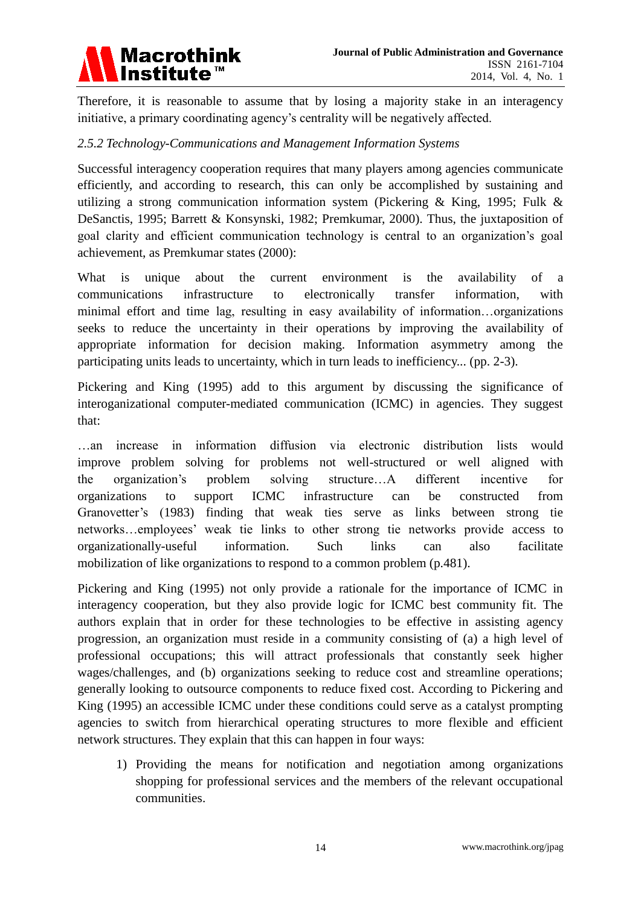

Therefore, it is reasonable to assume that by losing a majority stake in an interagency initiative, a primary coordinating agency's centrality will be negatively affected.

#### *2.5.2 Technology-Communications and Management Information Systems*

Successful interagency cooperation requires that many players among agencies communicate efficiently, and according to research, this can only be accomplished by sustaining and utilizing a strong communication information system (Pickering & King, 1995; Fulk & DeSanctis, 1995; Barrett & Konsynski, 1982; Premkumar, 2000). Thus, the juxtaposition of goal clarity and efficient communication technology is central to an organization's goal achievement, as Premkumar states (2000):

What is unique about the current environment is the availability of a communications infrastructure to electronically transfer information, with minimal effort and time lag, resulting in easy availability of information…organizations seeks to reduce the uncertainty in their operations by improving the availability of appropriate information for decision making. Information asymmetry among the participating units leads to uncertainty, which in turn leads to inefficiency... (pp. 2-3).

Pickering and King (1995) add to this argument by discussing the significance of interoganizational computer-mediated communication (ICMC) in agencies. They suggest that:

…an increase in information diffusion via electronic distribution lists would improve problem solving for problems not well-structured or well aligned with the organization's problem solving structure…A different incentive for organizations to support ICMC infrastructure can be constructed from Granovetter's (1983) finding that weak ties serve as links between strong tie networks…employees' weak tie links to other strong tie networks provide access to organizationally-useful information. Such links can also facilitate mobilization of like organizations to respond to a common problem (p.481).

Pickering and King (1995) not only provide a rationale for the importance of ICMC in interagency cooperation, but they also provide logic for ICMC best community fit. The authors explain that in order for these technologies to be effective in assisting agency progression, an organization must reside in a community consisting of (a) a high level of professional occupations; this will attract professionals that constantly seek higher wages/challenges, and (b) organizations seeking to reduce cost and streamline operations; generally looking to outsource components to reduce fixed cost. According to Pickering and King (1995) an accessible ICMC under these conditions could serve as a catalyst prompting agencies to switch from hierarchical operating structures to more flexible and efficient network structures. They explain that this can happen in four ways:

1) Providing the means for notification and negotiation among organizations shopping for professional services and the members of the relevant occupational communities.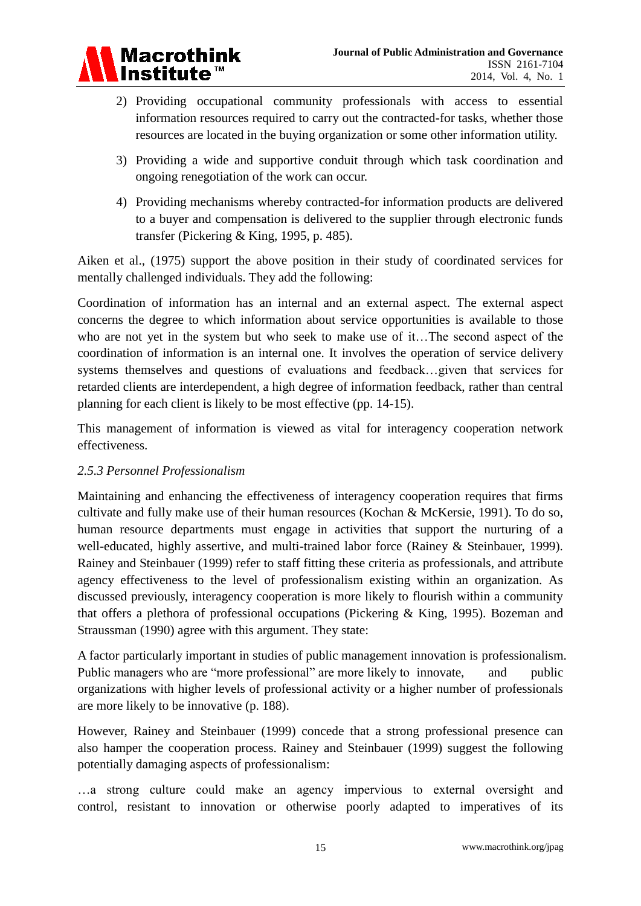

- 2) Providing occupational community professionals with access to essential information resources required to carry out the contracted-for tasks, whether those resources are located in the buying organization or some other information utility.
- 3) Providing a wide and supportive conduit through which task coordination and ongoing renegotiation of the work can occur.
- 4) Providing mechanisms whereby contracted-for information products are delivered to a buyer and compensation is delivered to the supplier through electronic funds transfer (Pickering & King, 1995, p. 485).

Aiken et al., (1975) support the above position in their study of coordinated services for mentally challenged individuals. They add the following:

Coordination of information has an internal and an external aspect. The external aspect concerns the degree to which information about service opportunities is available to those who are not yet in the system but who seek to make use of it…The second aspect of the coordination of information is an internal one. It involves the operation of service delivery systems themselves and questions of evaluations and feedback…given that services for retarded clients are interdependent, a high degree of information feedback, rather than central planning for each client is likely to be most effective (pp. 14-15).

This management of information is viewed as vital for interagency cooperation network effectiveness.

## *2.5.3 Personnel Professionalism*

Maintaining and enhancing the effectiveness of interagency cooperation requires that firms cultivate and fully make use of their human resources (Kochan & McKersie, 1991). To do so, human resource departments must engage in activities that support the nurturing of a well-educated, highly assertive, and multi-trained labor force (Rainey & Steinbauer, 1999). Rainey and Steinbauer (1999) refer to staff fitting these criteria as professionals, and attribute agency effectiveness to the level of professionalism existing within an organization. As discussed previously, interagency cooperation is more likely to flourish within a community that offers a plethora of professional occupations (Pickering & King, 1995). Bozeman and Straussman (1990) agree with this argument. They state:

A factor particularly important in studies of public management innovation is professionalism. Public managers who are "more professional" are more likely to innovate, and public organizations with higher levels of professional activity or a higher number of professionals are more likely to be innovative (p. 188).

However, Rainey and Steinbauer (1999) concede that a strong professional presence can also hamper the cooperation process. Rainey and Steinbauer (1999) suggest the following potentially damaging aspects of professionalism:

…a strong culture could make an agency impervious to external oversight and control, resistant to innovation or otherwise poorly adapted to imperatives of its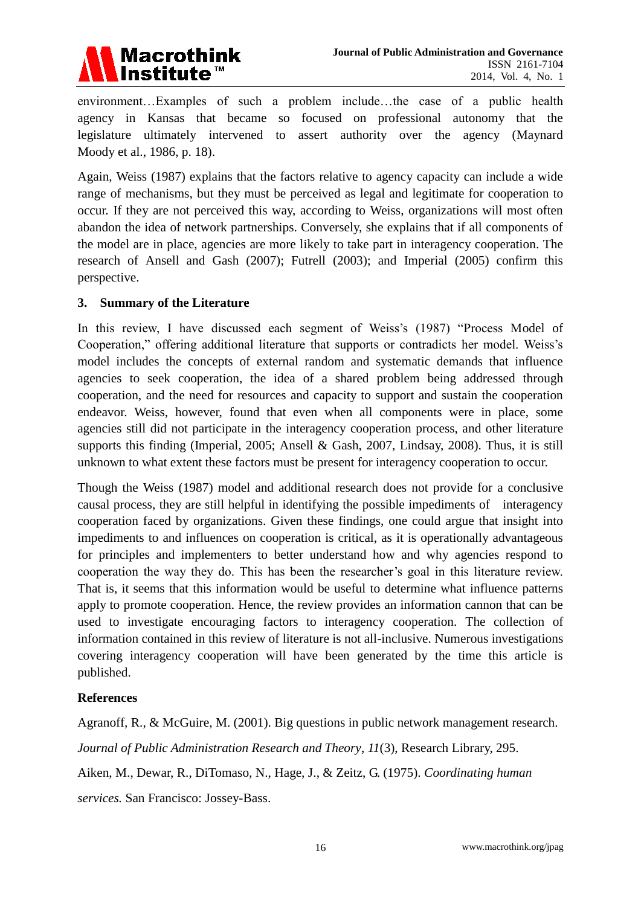

environment…Examples of such a problem include…the case of a public health agency in Kansas that became so focused on professional autonomy that the legislature ultimately intervened to assert authority over the agency (Maynard Moody et al., 1986, p. 18).

Again, Weiss (1987) explains that the factors relative to agency capacity can include a wide range of mechanisms, but they must be perceived as legal and legitimate for cooperation to occur. If they are not perceived this way, according to Weiss, organizations will most often abandon the idea of network partnerships. Conversely, she explains that if all components of the model are in place, agencies are more likely to take part in interagency cooperation. The research of Ansell and Gash (2007); Futrell (2003); and Imperial (2005) confirm this perspective.

#### **3. Summary of the Literature**

In this review, I have discussed each segment of Weiss's (1987) "Process Model of Cooperation," offering additional literature that supports or contradicts her model. Weiss's model includes the concepts of external random and systematic demands that influence agencies to seek cooperation, the idea of a shared problem being addressed through cooperation, and the need for resources and capacity to support and sustain the cooperation endeavor. Weiss, however, found that even when all components were in place, some agencies still did not participate in the interagency cooperation process, and other literature supports this finding (Imperial, 2005; Ansell & Gash, 2007, Lindsay, 2008). Thus, it is still unknown to what extent these factors must be present for interagency cooperation to occur.

Though the Weiss (1987) model and additional research does not provide for a conclusive causal process, they are still helpful in identifying the possible impediments of interagency cooperation faced by organizations. Given these findings, one could argue that insight into impediments to and influences on cooperation is critical, as it is operationally advantageous for principles and implementers to better understand how and why agencies respond to cooperation the way they do. This has been the researcher's goal in this literature review. That is, it seems that this information would be useful to determine what influence patterns apply to promote cooperation. Hence, the review provides an information cannon that can be used to investigate encouraging factors to interagency cooperation. The collection of information contained in this review of literature is not all-inclusive. Numerous investigations covering interagency cooperation will have been generated by the time this article is published.

#### **References**

Agranoff, R., & McGuire, M. (2001). Big questions in public network management research.

*Journal of Public Administration Research and Theory*, *11*(3), Research Library, 295.

Aiken, M., Dewar, R., DiTomaso, N., Hage, J., & Zeitz, G. (1975). *Coordinating human*

*services.* San Francisco: Jossey-Bass.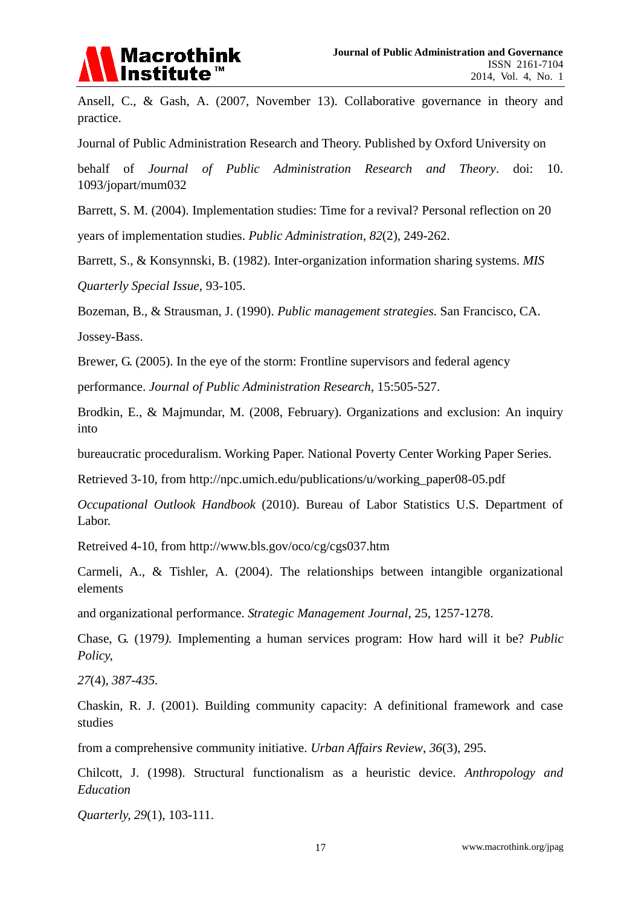

Ansell, C., & Gash, A. (2007, November 13). Collaborative governance in theory and practice.

Journal of Public Administration Research and Theory. Published by Oxford University on

behalf of *Journal of Public Administration Research and Theory*. doi: 10. 1093/jopart/mum032

Barrett, S. M. (2004). Implementation studies: Time for a revival? Personal reflection on 20

years of implementation studies. *Public Administration*, *82*(2), 249-262.

Barrett, S., & Konsynnski, B. (1982). Inter-organization information sharing systems. *MIS Quarterly Special Issue*, 93-105.

Bozeman, B., & Strausman, J. (1990). *Public management strategies.* San Francisco, CA.

Jossey-Bass.

Brewer, G. (2005). In the eye of the storm: Frontline supervisors and federal agency

performance. *Journal of Public Administration Research*, 15:505-527.

Brodkin, E., & Majmundar, M. (2008, February). Organizations and exclusion: An inquiry into

bureaucratic proceduralism. Working Paper. National Poverty Center Working Paper Series.

Retrieved 3-10, from http://npc.umich.edu/publications/u/working\_paper08-05.pdf

*Occupational Outlook Handbook* (2010). Bureau of Labor Statistics U.S. Department of Labor.

Retreived 4-10, from http://www.bls.gov/oco/cg/cgs037.htm

Carmeli, A., & Tishler, A. (2004). The relationships between intangible organizational elements

and organizational performance. *Strategic Management Journal*, 25, 1257-1278.

Chase, G. (1979*).* Implementing a human services program: How hard will it be? *Public Policy,*

*27*(4), *387-435.*

Chaskin, R. J. (2001). Building community capacity: A definitional framework and case studies

from a comprehensive community initiative. *Urban Affairs Review*, *36*(3), 295.

Chilcott, J. (1998). Structural functionalism as a heuristic device. *Anthropology and Education*

*Quarterly, 29*(1), 103-111.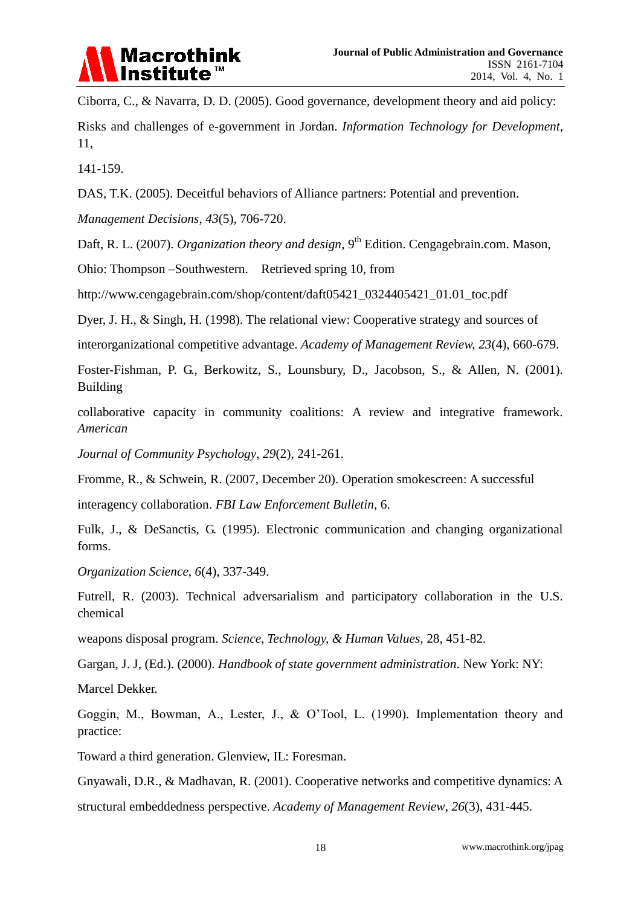

Ciborra, C., & Navarra, D. D. (2005). Good governance, development theory and aid policy:

Risks and challenges of e-government in Jordan. *Information Technology for Development,*  11,

141-159.

DAS, T.K. (2005). Deceitful behaviors of Alliance partners: Potential and prevention.

*Management Decisions*, *43*(5), 706-720.

Daft, R. L. (2007). *Organization theory and design*, 9<sup>th</sup> Edition. Cengagebrain.com. Mason,

Ohio: Thompson –Southwestern. Retrieved spring 10, from

http://www.cengagebrain.com/shop/content/daft05421\_0324405421\_01.01\_toc.pdf

Dyer, J. H., & Singh, H. (1998). The relational view: Cooperative strategy and sources of

interorganizational competitive advantage. *Academy of Management Review, 23*(4), 660-679.

Foster-Fishman, P. G., Berkowitz, S., Lounsbury, D., Jacobson, S., & Allen, N. (2001). Building

collaborative capacity in community coalitions: A review and integrative framework. *American*

*Journal of Community Psychology*, *29*(2), 241-261.

Fromme, R., & Schwein, R. (2007, December 20). Operation smokescreen: A successful

interagency collaboration. *FBI Law Enforcement Bulletin,* 6.

Fulk, J., & DeSanctis, G. (1995). Electronic communication and changing organizational forms.

*Organization Science*, *6*(4), 337-349.

Futrell, R. (2003). Technical adversarialism and participatory collaboration in the U.S. chemical

weapons disposal program. *Science, Technology, & Human Values,* 28, 451-82.

Gargan, J. J, (Ed.). (2000). *Handbook of state government administration*. New York: NY:

Marcel Dekker.

Goggin, M., Bowman, A., Lester, J., & O'Tool, L. (1990). Implementation theory and practice:

Toward a third generation. Glenview, IL: Foresman.

Gnyawali, D.R., & Madhavan, R. (2001). Cooperative networks and competitive dynamics: A structural embeddedness perspective. *Academy of Management Review*, *26*(3), 431-445.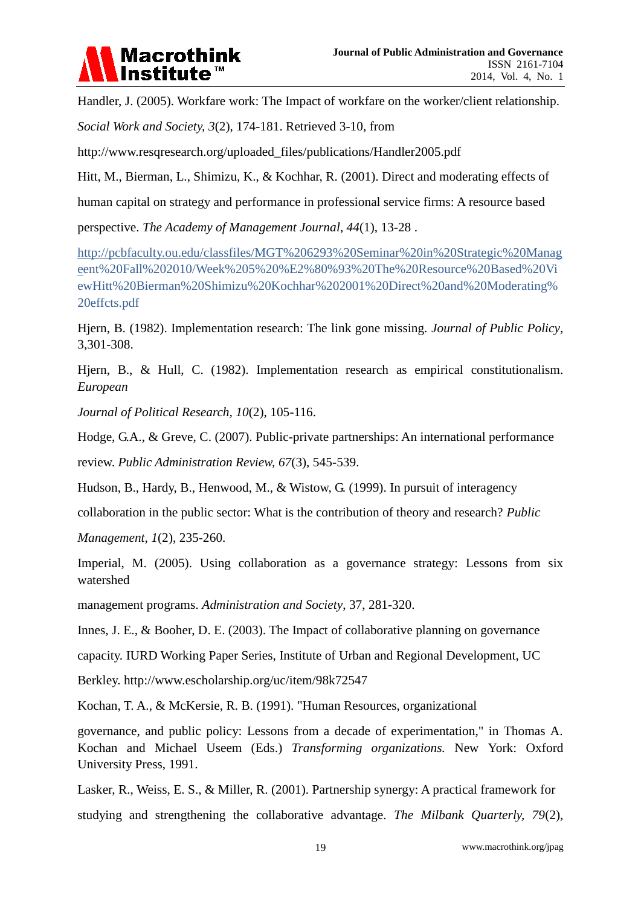

Handler, J. (2005). Workfare work: The Impact of workfare on the worker/client relationship.

*Social Work and Society, 3*(2), 174-181. Retrieved 3-10, from

http://www.resqresearch.org/uploaded\_files/publications/Handler2005.pdf

Hitt, M., Bierman, L., Shimizu, K., & Kochhar, R. (2001). Direct and moderating effects of

human capital on strategy and performance in professional service firms: A resource based

perspective. *The Academy of Management Journal*, *44*(1), 13-28 .

[http://pcbfaculty.ou.edu/classfiles/MGT%206293%20Seminar%20in%20Strategic%20Manag](http://pcbfaculty.ou.edu/classfiles/MGT%206293%20Seminar%20in%20Strategic%20Manage) [ee](http://pcbfaculty.ou.edu/classfiles/MGT%206293%20Seminar%20in%20Strategic%20Manage)nt%20Fall%202010/Week%205%20%E2%80%93%20The%20Resource%20Based%20Vi ewHitt%20Bierman%20Shimizu%20Kochhar%202001%20Direct%20and%20Moderating% 20effcts.pdf

Hjern, B. (1982). Implementation research: The link gone missing. *Journal of Public Policy*, 3,301-308.

Hjern, B., & Hull, C. (1982). Implementation research as empirical constitutionalism. *European*

*Journal of Political Research, 10*(2), 105-116.

Hodge, G.A., & Greve, C. (2007). Public-private partnerships: An international performance

review. *Public Administration Review, 67*(3), 545-539.

Hudson, B., Hardy, B., Henwood, M., & Wistow, G. (1999). In pursuit of interagency

collaboration in the public sector: What is the contribution of theory and research? *Public*

*Management, 1*(2), 235-260.

Imperial, M. (2005). Using collaboration as a governance strategy: Lessons from six watershed

management programs. *Administration and Society*, 37, 281-320.

Innes, J. E., & Booher, D. E. (2003). The Impact of collaborative planning on governance

capacity. IURD Working Paper Series, Institute of Urban and Regional Development, UC

Berkley. http://www.escholarship.org/uc/item/98k72547

Kochan, T. A., & McKersie, R. B. (1991). "Human Resources, organizational

governance, and public policy: Lessons from a decade of experimentation," in Thomas A. Kochan and Michael Useem (Eds.) *Transforming organizations.* New York: Oxford University Press, 1991.

Lasker, R., Weiss, E. S., & Miller, R. (2001). Partnership synergy: A practical framework for studying and strengthening the collaborative advantage. *The Milbank Quarterly, 79*(2),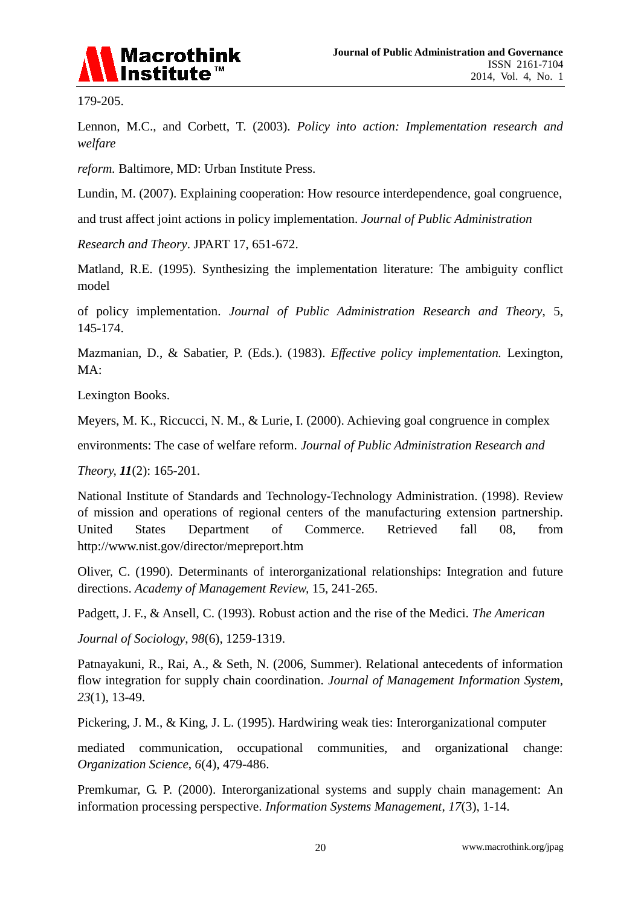

179-205.

Lennon, M.C., and Corbett, T. (2003). *Policy into action: Implementation research and welfare*

*reform.* Baltimore, MD: Urban Institute Press.

Lundin, M. (2007). Explaining cooperation: How resource interdependence, goal congruence,

and trust affect joint actions in policy implementation. *Journal of Public Administration*

*Research and Theory*. JPART 17, 651-672.

Matland, R.E. (1995). Synthesizing the implementation literature: The ambiguity conflict model

of policy implementation. *Journal of Public Administration Research and Theory*, 5, 145-174.

Mazmanian, D., & Sabatier, P. (Eds.). (1983). *Effective policy implementation.* Lexington, MA:

Lexington Books.

Meyers, M. K., Riccucci, N. M., & Lurie, I. (2000). Achieving goal congruence in complex

environments: The case of welfare reform. *Journal of Public Administration Research and*

*Theory, 11*(2): 165-201.

National Institute of Standards and Technology-Technology Administration. (1998). Review of mission and operations of regional centers of the manufacturing extension partnership. United States Department of Commerce*.* Retrieved fall 08, from http://www.nist.gov/director/mepreport.htm

Oliver, C. (1990). Determinants of interorganizational relationships: Integration and future directions. *Academy of Management Review,* 15, 241-265.

Padgett, J. F., & Ansell, C. (1993). Robust action and the rise of the Medici. *The American*

*Journal of Sociology*, *98*(6), 1259-1319.

Patnayakuni, R., Rai, A., & Seth, N. (2006, Summer). Relational antecedents of information flow integration for supply chain coordination. *Journal of Management Information System, 23*(1), 13-49.

Pickering, J. M., & King, J. L. (1995). Hardwiring weak ties: Interorganizational computer

mediated communication, occupational communities, and organizational change: *Organization Science*, *6*(4), 479-486.

Premkumar, G. P. (2000). Interorganizational systems and supply chain management: An information processing perspective. *Information Systems Management*, *17*(3), 1-14.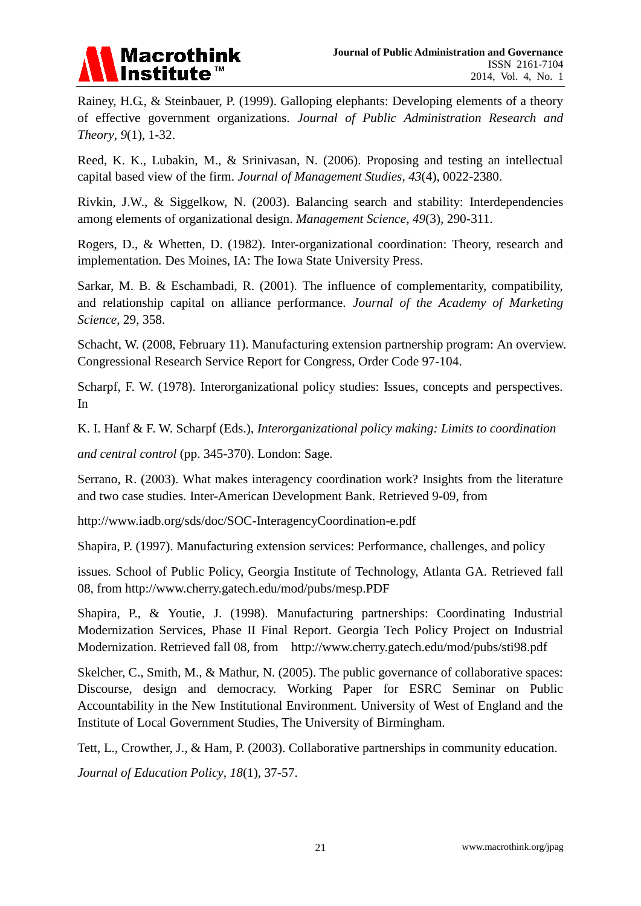

Rainey, H.G., & Steinbauer, P. (1999). Galloping elephants: Developing elements of a theory of effective government organizations. *Journal of Public Administration Research and Theory*, *9*(1), 1-32.

Reed, K. K., Lubakin, M., & Srinivasan, N. (2006). Proposing and testing an intellectual capital based view of the firm. *Journal of Management Studies*, *43*(4), 0022-2380.

Rivkin, J.W., & Siggelkow, N. (2003). Balancing search and stability: Interdependencies among elements of organizational design. *Management Science*, *49*(3), 290-311.

Rogers, D., & Whetten, D. (1982). Inter-organizational coordination: Theory, research and implementation*.* Des Moines, IA: The Iowa State University Press.

Sarkar, M. B. & Eschambadi, R. (2001). The influence of complementarity, compatibility, and relationship capital on alliance performance. *Journal of the Academy of Marketing Science*, 29, 358.

Schacht, W. (2008, February 11). Manufacturing extension partnership program: An overview. Congressional Research Service Report for Congress, Order Code 97-104.

Scharpf, F. W. (1978). Interorganizational policy studies: Issues, concepts and perspectives. In

K. I. Hanf & F. W. Scharpf (Eds.), *Interorganizational policy making: Limits to coordination*

*and central control* (pp. 345-370). London: Sage.

Serrano, R. (2003). What makes interagency coordination work? Insights from the literature and two case studies. Inter-American Development Bank*.* Retrieved 9-09, from

http://www.iadb.org/sds/doc/SOC-InteragencyCoordination-e.pdf

Shapira, P. (1997). Manufacturing extension services: Performance, challenges, and policy

issues*.* School of Public Policy, Georgia Institute of Technology, Atlanta GA. Retrieved fall 08, from http://www.cherry.gatech.edu/mod/pubs/mesp.PDF

Shapira, P., & Youtie, J. (1998). Manufacturing partnerships: Coordinating Industrial Modernization Services, Phase II Final Report. Georgia Tech Policy Project on Industrial Modernization. Retrieved fall 08, from http://www.cherry.gatech.edu/mod/pubs/sti98.pdf

Skelcher, C., Smith, M., & Mathur, N. (2005). The public governance of collaborative spaces: Discourse, design and democracy. Working Paper for ESRC Seminar on Public Accountability in the New Institutional Environment. University of West of England and the Institute of Local Government Studies, The University of Birmingham.

Tett, L., Crowther, J., & Ham, P. (2003). Collaborative partnerships in community education.

*Journal of Education Policy*, *18*(1), 37-57.